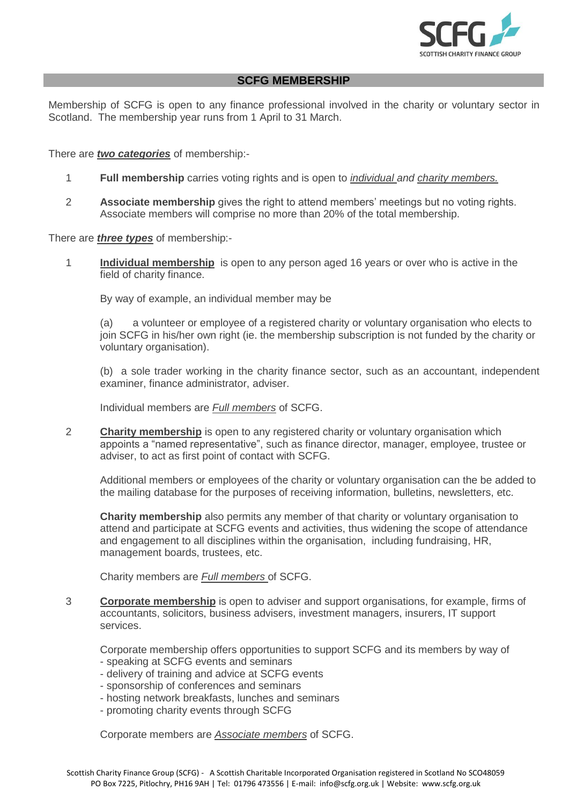

## **SCFG MEMBERSHIP**

Membership of SCFG is open to any finance professional involved in the charity or voluntary sector in Scotland. The membership year runs from 1 April to 31 March.

## There are *two categories* of membership:-

- 1 **Full membership** carries voting rights and is open to *individual and charity members.*
- 2 **Associate membership** gives the right to attend members' meetings but no voting rights. Associate members will comprise no more than 20% of the total membership.

There are *three types* of membership:-

1 **Individual membership** is open to any person aged 16 years or over who is active in the field of charity finance.

By way of example, an individual member may be

(a) a volunteer or employee of a registered charity or voluntary organisation who elects to join SCFG in his/her own right (ie. the membership subscription is not funded by the charity or voluntary organisation).

(b) a sole trader working in the charity finance sector, such as an accountant, independent examiner, finance administrator, adviser.

Individual members are *Full members* of SCFG.

2 **Charity membership** is open to any registered charity or voluntary organisation which appoints a "named representative", such as finance director, manager, employee, trustee or adviser, to act as first point of contact with SCFG.

Additional members or employees of the charity or voluntary organisation can the be added to the mailing database for the purposes of receiving information, bulletins, newsletters, etc.

**Charity membership** also permits any member of that charity or voluntary organisation to attend and participate at SCFG events and activities, thus widening the scope of attendance and engagement to all disciplines within the organisation, including fundraising, HR, management boards, trustees, etc.

Charity members are *Full members* of SCFG.

3 **Corporate membership** is open to adviser and support organisations, for example, firms of accountants, solicitors, business advisers, investment managers, insurers, IT support services.

Corporate membership offers opportunities to support SCFG and its members by way of

- speaking at SCFG events and seminars
- delivery of training and advice at SCFG events
- sponsorship of conferences and seminars
- hosting network breakfasts, lunches and seminars
- promoting charity events through SCFG

Corporate members are *Associate members* of SCFG.